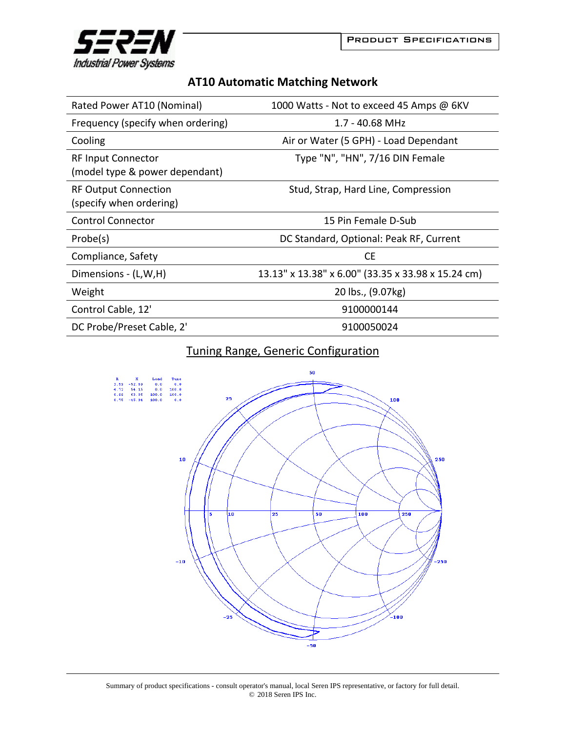



| <b>AT10 Automatic Matching Network</b> |  |  |
|----------------------------------------|--|--|
|----------------------------------------|--|--|

| Rated Power AT10 (Nominal)                                  | 1000 Watts - Not to exceed 45 Amps @ 6KV           |
|-------------------------------------------------------------|----------------------------------------------------|
| Frequency (specify when ordering)                           | 1.7 - 40.68 MHz                                    |
| Cooling                                                     | Air or Water (5 GPH) - Load Dependant              |
| <b>RF Input Connector</b><br>(model type & power dependant) | Type "N", "HN", 7/16 DIN Female                    |
| <b>RF Output Connection</b><br>(specify when ordering)      | Stud, Strap, Hard Line, Compression                |
| <b>Control Connector</b>                                    | 15 Pin Female D-Sub                                |
| Probe(s)                                                    | DC Standard, Optional: Peak RF, Current            |
| Compliance, Safety                                          | <b>CE</b>                                          |
| Dimensions - (L,W,H)                                        | 13.13" x 13.38" x 6.00" (33.35 x 33.98 x 15.24 cm) |
| Weight                                                      | 20 lbs., (9.07kg)                                  |
| Control Cable, 12'                                          | 9100000144                                         |
| DC Probe/Preset Cable, 2'                                   | 9100050024                                         |

## Tuning Range, Generic Configuration